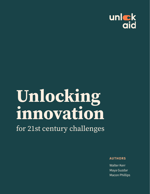

# **Unlocking innovation** for 21st century challenges

**AUTHORS**

Walter Kerr Maya Guzdar Macon Phillips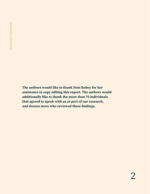**The authors would like to thank Deni Robey for her assistance in copy editing this report. The authors would additionally like to thank the more than 70 individuals that agreed to speak with us as part of our research, and dozens more who reviewed these fndings.**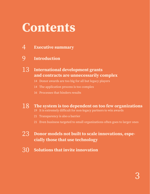## **Contents**

- $\overline{4}$ **Executive summary**
- 9 **Introduction**
- 13 **International development grants** and contracts are unnecessarily complex
	- 14 Donor awards are too big for all but legacy players
	- 14 The application process is too complex
	- 16 Processes that hinders results
- 18 The system is too dependent on too few organizations 19 It is extremely difficult for non-legacy partners to win awards
	- 21 Transparency is also a barrier
	- 21 Even business targeted to small organizations often goes to larger ones
- 23 Donor models not built to scale innovations, especially those that use technology
- 30 **Solutions that invite innovation**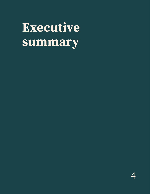## <span id="page-3-0"></span>**Executive summary**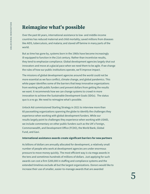## **Reimagine what's possible**

Over the past 60 years, international assistance to low- and middle-income countries has reduced maternal and child mortality; saved millions from diseases like AIDS, tuberculosis, and malaria; and staved off famine in many parts of the world.

But as time has gone by, systems born in the 1960s have become increasingly ill-equipped to function in the 21st century. Rather than incentivize results, they tend to emphasize compliance. Global development agencies largely shut out innovators and move at a glacial pace when we need them to be agile. If we change the rules of how our public institutions operate, we'll improve impact.

The missions of global development agencies around the world could not be more essential as we face conflict, climate change, and global pandemics. This white paper identifies some of the barriers that keep innovative organizations from working with public funders and prevent dollars from getting the results we want. It recommends how we can change systems to crowd-in more innovation to achieve the Sustainable Development Goals (SDGs). The status quo is a no go. We need to reimagine what's possible.

Unlock Aid commissioned Starling Strategy in 2021 to interview more than 60 pacesetting organizations spanning the globe to identify the challenges they experience when working with global development funders. While our results largely point to challenges they experience when working with USAID, we include commentary on other public funders such as the UK's Foreign, Commonwealth, and Development Office (FCDO), the World Bank, Global Fund, and Gavi.

#### International assistance awards create significant barriers for new partners

As billions of dollars are annually allocated for development, a relatively small number of people who work at development agencies are under enormous pressure to move money quickly. The most efficient way is via mega awards in the tens and sometimes hundreds of millions of dollars. Just applying for such awards can cost a firm \$200,000 in staffing and compliance systems and the extended timelines exclude all but the largest organizations. Donors would like to increase their use of smaller, easier-to-manage awards that are awarded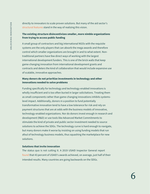directly to innovators to scale proven solutions. But many of the aid sector's structural features stand in the way of realizing this vision.

#### The existing structure disincentivizes smaller, more nimble organizations from trying to access public funding

A small group of contractors and big international NGOs with the requisite systems are the only players that can absorb the mega awards and therefore control which smaller organizations are brought in and to what extent. Nontraditional partners have few direct ways of working with the largest international development funders. This is one of the brick walls that keep game-changing innovation from international development grants and contracts and deters the kind of collaboration that would include expansive use of scalable, innovative approaches.

#### Many donors do not prioritize investments in technology and other innovations needed to solve problems

Funding specifically for technology and technology-enabled innovations is wholly insufficient and is too often buried in larger solicitations. Treating them as small components rather than game-changing innovations inhibits systemslevel impact. Additionally, donors in a position to fund potentially transformative innovation tend to have a low tolerance for risk and rely on payment structures that are at odds with the business models of innovative, technology-enabled organizations. Nor do donors invest enough in research and development (R&D) or use tools like Advanced Market Commitments to stimulate the kind of private and public sector investment needed to source solutions to achieve the SDGs. The technology curve is hard enough to navigate, but many donors make it worse by insisting on using funding models that run afoul of technology business models, thus squashing the marketplace for new solutions

#### Solutions that invite innovation

The status quo is not cutting it. A 2019 USAID Inspector General report found that 43 percent of USAID's awards achieved, on average, just half of their intended results. Many countries are going backwards on the SDGs.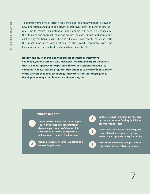To address humanity's greatest needs, the global community needs to crowd-in new innovations and public and private sector investment, and shift the status quo. But to realize this potential, many donors will need big changes in their thinking and approach: changing policies, business culture and norms, and challenging tradition at old institutions will make it easier for them to work with the most innovative organizations in the world, especially with the local innovators that are best positioned to achieve the SDGs.

Note: While much of this paper addresses technology innovators' challenges, innovators can take all shapes, from human rights defenders that use novel approaches to put sunshine on corruption and abuse, to community health worker programs that put impact ahead of inputs. Many of the barriers that keep technology innovators from working in global development keep other innovative players out, too.

#### **What's needed**

 $\mathbf{1}$ 

 $2<sup>1</sup>$ 

Faster release of funds and tiered application and compliance requirements depending on the size of the award. It should take less effort to apply for a \$2 million award than a \$20 million one

Donor intervention to improve prime-sub contracting dynamics

 $3<sup>1</sup>$ 

Budgets not just for pilots, but for scaleups, as well as more funding for R&D for big "moonshot" ideas

Overhauled contracting rules and greater use of fixed-price awards that are easier to manage and can pay for results



 $\overline{4}$ 

Front Office-based "de-sludge" units to lead major internal reform initiatives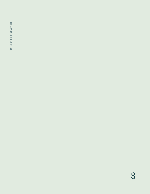UNLOCKING INNOVATION **UNLOCKING INNOVATION**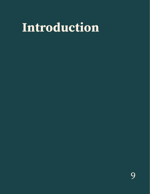## <span id="page-8-0"></span>**Introduction**

9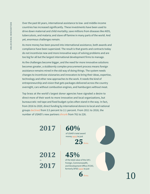Over the past 60 years, international assistance to low- and middle-income countries has increased significantly. These investments have been used to drive down maternal and child mortality; save millions from diseases like AIDS, tuberculosis, and malaria; and stave off famine in many parts of the world. And yet, enormous challenges remain.

As more money has been poured into international assistance, both awards and compliance have been supersized. The result is that grants and contracts today do not incentivize new and more innovative ways of solving problems and are too big for all but the largest international development firms to manage.

As the challenges become bigger, and the need for more innovative solutions becomes greater, a stubbornly complex procurement process means foreign assistance remains mired in the old way of doing things. The system needs changes to incentivize visionaries and innovators to bring their ideas, expertise, technology and other new approaches to the work. It needs the kind of entrepreneurship and vision that gets packages delivered across the country overnight, cars without combustion engines, and hamburgers without meat.

Top brass at the world's largest donor agencies have signaled a desire to direct more of their work to more innovative and local organizations, but bureaucratic red tape and fixed budget cycles often stand in the way. In fact, from 2016 to 2020, direct funding by international donors to local and national groups declined from 3.5 percent to 2.1 percent. From 2011 to 2018, the number of USAID's new partners shrunk from 761 to 226.

2017

2012 2017





of the total value of the UK's Foreign, Commonwealth, and Development Office (FCDO, formerly DFID) went to just

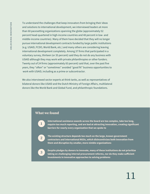To understand the challenges that keep innovators from bringing their ideas and solutions to international development, we interviewed leaders at more than 60 pacesetting organizations spanning the globe (approximately 52 percent head-quartered in high-income countries and 48 percent in low- and middle-income countries). Many of them have decided that they will no longer pursue international development contracts funded by large public institutions (e.g. USAID, FCDO, World Bank, etc.) and many others are considering leaving international development completely. Among 37 firms that participated in a voluntary survey, thirteen (or 35 percent) said they do not do any business with USAID although they may work with private philanthropies or other funders. Twenty out of 24 firms (approximately 83 percent) said that, over the past five years, they "often" or "sometimes" avoided "good fit" business opportunities to work with USAID, including as a prime or subcontractor.

We also interviewed sector experts at think tanks, as well as representatives of bilateral donors like USAID and the Dutch Ministry of Foreign Affairs, multilateral donors like the World Bank and Global Fund, and philanthropic foundations.

### **What we found**

 $\mathbf{1}$ 

 $2<sup>2</sup>$ 

 $3<sup>1</sup>$ 

- International assistance awards across the board are too complex, take too long, require too much reporting, and are bad at attracting innovation, creating significant barriers for nearly every organization that we spoke to
- The existing structure depends too much on the large, known government contractors and international NGOs, which disincentivizes both innovation from them and disruption by smaller, more nimble organizations
- Despite pledges by donors to innovate, many of these institutions do not prioritize taking on challenging internal procurement reforms, nor do they make sufficient investments in innovative approaches to solving problems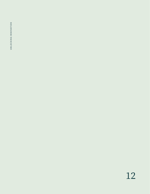UNLOCKING INNOVATION **UNLOCKING INNOVATION**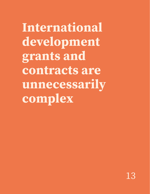<span id="page-12-0"></span>**International development grants and contracts are unnecessarily complex**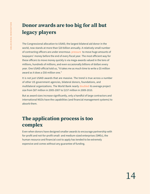## Donor awards are too big for all but legacy players

The Congressional allocation to USAID, the largest bilateral aid donor in the world, now stands at more than \$20 billion annually. A relatively small number of contracting officers are under enormous pressure to move huge amounts of taxpayers' money before the end of every fiscal year. The most efficient way for these officers to move money quickly is via mega-awards valued in the tens of millions, hundreds of millions, and even occasionally billions of dollars every year. One USAID official told us, "It takes me as much time to write a \$5 million award as it does a \$50 million one."

It is not just USAID awards that are massive. The trend is true across a number of other US government agencies, bilateral donors, foundations, and multilateral organizations. The World Bank nearly doubled its average project size from \$87 million in 2005-2007 to \$157 million in 2009-2010.

But as award sizes increase significantly, only a handful of large contractors and international NGOs have the capabilities (and financial management systems) to absorb them.

## <span id="page-13-0"></span>The application process is too complex

Even when donors have designed smaller awards to encourage partnership with for-profit and not-for-profit small- and medium-sized enterprises (SMEs), the human resource and financial cost to apply has tended to be extremely expensive and comes without any guarantee of funding.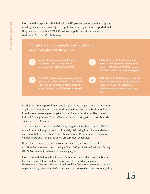Firms said that agencies affiliated with the US government required among the most significant investments just to apply. Multiple organizations reported that they invested more than \$200,000 just to compete for and comply with a traditional "cost-plus" USAID award.

### **Example costs just to apply for and comply with a** single "cost-plus" USAID contract



**Audits of multiple years of financial** statements, per USAID proposal requirements (\$40,000 to \$50,000)

**Proposal writers, business development** teams, and budget staff with specialized expertise writing USAID-compliant proposals (\$30,000 to \$50,000 per proposal) **Establishment of USAID-compliant** financial management systems and software licenses and accounting fees)

 $3<sup>1</sup>$ 

 $\overline{4}$ 

**Establishment of a Negotiated Indirect Cost Rate Agreement (NICRA) with the** federal government (\$30,000 to \$40,000 in consultant fees and staff time)

In addition, firms reported that complying with the US government's minimum application requirements takes considerable time. One organization told us that it took more than one year to get approved for what's called a "Negotiated Indirect Cost Agreement," or NICRA, even while working with a consultant who specializes in NICRA issues.

These obstacles come on top of the very long timelines that USAID itself takes to move from a call for proposals to ultimately disbursing funds for awarded work, a process that routinely takes more than one year. Most smaller organizations cannot afford such long, protracted procurement schedules.

Non-US firms face even more barriers because they are often subject to additional requirements such having a Non-US Organization Pre-Award Survey (NUPAS) executed in advance of receiving a grant.

Firms also said that long timelines of multilateral donors like Gavi, the Global Fund, and multilateral banks are impediments to working in global development. One executive said that it took his firm more than nine months to negotiate an agreement with Gavi because the proposed contract was caught up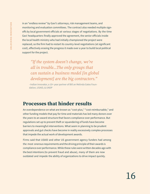in an "endless review" by Gavi's attorneys, risk management teams, and monitoring and evaluation committees. The contract also needed multiple signoffs by local government officials at various stages of negotiations. By the time Gavi headquarters finally approved the agreement, the senior officials inside the local health ministry who had initially championed the project were replaced, so the firm had to restart its country-level negotiations (at significant cost), effectively erasing the progress it made over a year to build local political support for the project.

"If the system doesn't change, we're all in trouble...The only groups that can sustain a business model [in global development] are the big contractors."

-Indian innovator, a 10+ year partner of Bill an Melinda Gates Foundation, USAID, & UNDP

### <span id="page-15-0"></span>**Processes that hinder results**

An overdependence on what are known as "cost-plus," "cost-reimbursable," and other funding models that pay for time and materials has led many donors over the years to an award structure that favors compliance over performance. But regulations set up to prevent theft or squandering of funds have become barriers to meaningful interventions. What seem in planning to be prudent approvals and gut checks have become in reality excessively complex processes that impede the actual work of development awards.

Firms said that USAID and other US government agency funders had among the most onerous requirements and the driving principle of their awards is compliance over performance. While these rules were written decades ago with the best intentions (to prevent fraud and abuse), many of them are now outdated and impede the ability of organizations to drive impact quickly.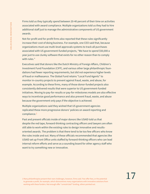Firms told us they typically spend between 20-40 percent of their time on activities associated with award compliance. Multiple organizations told us they had to hire additional staff just to manage the administrative components of US government awards.

Not-for-profit and for-profit firms also reported that these rules significantly increase their cost of doing business. For example, one CEO said that, because organizations must use multi-level approvals systems to track all purchases associated with US government-funded projects, "We have to spend \$50,000 a year just to use clunky software that exists for no other reason than to comply with rules."

Executives said that donors like the Dutch Ministry of Foreign Affairs, Children's Investment Fund Foundation (CIFF), and various other large philanthropic foundations had fewer reporting requirements, but did not experience higher levels of fraud or malfeasance. The Global Fund retains "Local Fund Agents" to monitor in-country projects to prevent against fraud, waste, and abuse, for example. According to these firms, many of those donor-funded projects also consistently delivered results that were superior to US government-funded initiatives. Moving to pay-for-results or pay-for-milestones models are also effective ways to incentivize good performance and also prevent fraud, waste, and abuse because the government only pays if the objective is achieved.

Multiple organizations said they wished that US government agencies replicated these more progressive donors' policies on award reporting and compliance. $<sup>1</sup>$ </sup>

Past and present officials inside of major donors like USAID told us that despite the red tape, forward-thinking contracting officers and lawyers are often still able to work within the existing rules to design innovative and resultsoriented awards. The problem is that there tend to be too few officers who know the rules inside and out. Many of these officials recommended that agencies like USAID set up Front Office units staffed by forward-thinking officers who can lead internal reform efforts and serve as a sounding board for other agency staff who want to try something new or innovative.

17

1 Many philanthropies present their own challenges, however, firms said. Few offer fees, or the potential to generate a profit, for example, which disincentives many organizations with innovative solutions from working with these funders. Not enough offer "unrestricted" funding, others pointed out.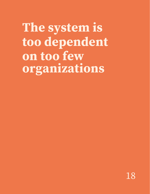<span id="page-17-0"></span>The system is too dependent on too few organizations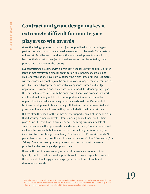## **Contract and grant design makes it** extremely difficult for non-legacy players to win awards

Given that being a prime contractor is just not possible for most non-legacy partners, smaller innovators are usually relegated to subawards. This creates a unique set of challenges to working with global development funders, in part, because the innovator is subject to timelines set and implemented by their primes - not the donor or the country.

Subcontracting also comes with a significant need for upfront capital. Up to ten large primes may invite a smaller organization to join their consortia. Since smaller organizations have no way of knowing which large prime will ultimately win the award, many opt to join the proposals of as many of these larger firms as possible. But each proposal comes with a compliance burden and budget negotiations. However, once the award is announced, the donor agency signs the contractual agreement with the prime only. There is no promise that work, and therefore funding, will flow to the subpartners. As a result, a smaller organization included in a winning proposal needs to do *another* round of business development (often including with the in-country partners like local government ministries) to ensure they are included in the final work plan. But it's often the case that the primes cut the subpartners out of the deal, a risk that discourages many innovators from pursuing public funding in the first place.<sup>2</sup> One CEO said that, in his experience, many big firms include lots of small innovators in their proposed consortia as "bid candy" for donors who will evaluate the proposals. But as soon as the contract or grant is awarded, the incentive structure changes completely. Fourteen out of 19 firms (or nearly 74 percent) reported that, over the last five years, they were "often," "very often," or "always" awarded less by larger prime contractors than what they were promised at the teaming and proposal stage.

Because the most innovative organizations that work in development are typically small or medium-sized organizations, this business practice is one of the brick walls that keep game-changing innovation from international development awards.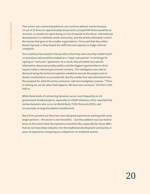Poor prime-sub contracting behavior can continue without checks because 19 out of 23 firms (or approximately 83 percent) surveyed felt there would be no recourse, so would not report being cut out of awards to the donor. International development is a relatively small community, and the primes ultimately control the money that goes to the smaller organizations. Firms said that they either feared reprisals or they lacked the staff time and capacity to lodge a formal complaint.

One small business based in Kenya told us that they were recently invited to join a consortium and would be treated as a "major sub-partner" in exchange for signing an "exclusive" agreement. As a result, they provided very specific information about personality politics and the biggest opportunities to drive impact inside a relevant government ministry. This intelligence was vital to demonstrating the technical expertise needed to execute the project and no doubt contributed to a successful bid. But the smaller firm was eliminated from the proposal for what the prime contractor said were budgetary reasons. "There is nothing we can do when that happens. We have zero recourse," the firm's CEO au blot

While these kinds of contracting dynamics occur most frequently on US government-funded projects, especially on USAID initiatives, firms reported that similar dynamics also occur on World Bank, FCDO (formerly DFID), and occasionally on large foundation-funded work.

Many firms pointed out they have also had good experiences working with some larger partners - the sector is not monolithic - but they added it was too hard to know at the outset what the experience would be like, especially for those SMEs that do not have deep networks into the traditional development community or years of experience competing as a subpartner on tendered awards.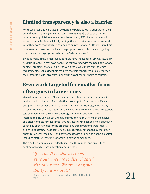### Limited transparency is also a barrier

For those organizations that still do decide to participate as a subpartner, their limited networks to legacy contractor networks was also cited as a barrier. When a donor publishes a tender for a large award, SMEs know that a small subset of organizations will likely put together consortia to submit a proposal. What they don't know is which companies or international NGOs will submit bids or who within those firms will lead the proposal process. Too much of getting listed on consortia proposals is based on "who you know."

<span id="page-20-0"></span>Since so many of the larger legacy partners have thousands of employees, it can be difficult for SMEs that have not historically worked with them to know who to contact, problems that could be resolved if there were more transparency requirements, such as if donors required that larger partners publicly register their intent to bid for an award, along with an appropriate point of contact.

## **Even work targeted for smaller firms** often goes to larger ones

Many donors have created "local awards" and other specialized programs to enable a wider selection of organizations to compete. These are specifically designed to encourage a wider variety of partners: for example, more locallybased firms with a vested interest in the results of the work. And yet, firm leaders told us that many of the world's largest government contractors and international NGOs have set up smaller firms or foreign versions of themselves and often compete for these programs against truly indigenous ones, effectively squeezing opportunities for the organizations these programs were initially designed to attract. These spin-offs are typically led or managed by the larger organization, governed by it, and have access to its human and financial capital including staff expertise in proposal writing and compliance.

The result is that money intended to increase the number and diversity of contractors and attract innovation does neither.

> "If we don't see changes soon, we're out... We are so disenchanted with this sector. We are losing our ability to work in it."

-Kenyan innovator, a 10+ year partner of BMGF, USAID, & **FCDO**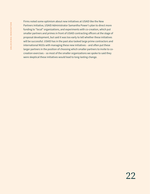Firms noted some optimism about new initiatives at USAID like the New Partners Initiative, USAID Administrator Samantha Power's plan to direct more funding to "local" organizations, and experiments with co-creation, which put smaller partners and primes in front of USAID contracting officers at the stage of proposal development, but said it was too early to tell whether these initiatives will be successful. USAID has in the past also tasked large prime contractors and international NGOs with managing these new initiatives - and often put these larger partners in the position of choosing which smaller partners to invite to cocreation exercises - so most of the smaller organizations we spoke to said they were skeptical these initiatives would lead to long-lasting change.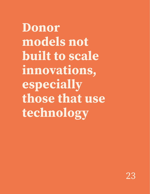<span id="page-22-0"></span>**Donor models not built to scale innovations, especially those that use technology**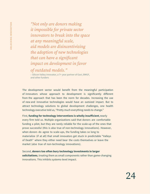"Not only are donors making it impossible for private sector innovators to break into the space at any meaningful scale, aid models are disincentivizing the adoption of new technologies that can have a significant impact on development in favor

of outdated models."

- Silicon Valley innovator, a 7+ year partner of Gavi, BMGF, and other funders

The development sector would benefit from the meaningful participation of innovators whose approach to development is significantly different from the approach that has been the norm for decades. Increasing the use of new and innovative technologies would have an outsized impact. But to attract technology solutions to global development challenges, one health technology executive told us, "Pretty much everything needs to change."

First, funding for technology interventions is wholly insufficient, nearly every firm told us. Multiple organizations said that donors are comfortable funding a pilot, but they are rarely reliable for the scale-up of the ones that prove successful (this is also true of non-technology innovations). However, when donors do agree to scale-ups, the funding takes so long to materialize (if at all) that small innovators get stuck in predictable "Valleys of Death" where they either need bear the costs themselves or leave the market (also true of non-technology innovations).

Second, donors too often bury technology investments in larger solicitations, treating them as small components rather than game-changing innovations. This inhibits systems-level impact.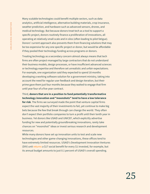Many scalable technologies could benefit multiple sectors, such as data analytics, artificial intelligence, alternative building materials, crop insurance, weather prediction, and hardware such as advanced sensors, drones, and medical technology. But because donors treat tech as a tool to support a specific project, donors routinely finance a proliferation of innovations, all operating at relatively small scale and in silos (often leading to pilot fatigue). Donors' current approach also prevents them from financing solutions that may be too expensive for any one specific project or donor, but would be affordable if they pooled their technology funding across programs or donors.

Treating technology as a secondary concern almost always means that tech firms are often project-managed by large contractors that do not understand their business models, design processes, or have insufficient advanced sciences or technology expertise and therefore set unrealistic and unfair expectations. For example, one organization said they expected to spend 18 months developing a working software solution for a government ministry, taking into account the need for regular user feedback and design iteration, but their prime gave them just four months because they waited to engage that firm until year four of a five-year contract.

#### Third, donors that are in a position to fund potentially transformative technology innovation and "moonshots" tend to have a low tolerance

for risk. The firms we surveyed made the point that venture capital firms expect the vast majority of their investments to fail, yet continue to make big bets because the few that break through can change the world. They often don't expect their portfolio companies to turn a profit until their tenth year in business. Yet donors like USAID and UNICEF, which explicitly advertise funding for new and potentially groundbreaking innovations, rarely take chances on "moonshot" ideas or invest serious research and development resources.

While many donors have set up innovation units to test and scale new technologies and other game-changing innovations, these offices tend to have extremely limited resources. USAID's Development Innovation Ventures (DIV) unit returns a \$17 social benefit for every \$1 invested, for example, but its annual budget amounts to just 0.1 percent of USAID's overall spending.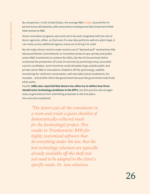By comparison, in the United States, the average R&D budget accounts for 4.4 percent across all industries, with some sectors investing more than 25 percent of their total revenue on R&D.

Donor innovation programs also tend not to be well-integrated with the rest of donor agencies, either, so that even if a new idea performs well at a pilot stage, it can rarely access additional agency resources to bring it to scale.

Nor do major donors tend to make routine use of "demand-pull" mechanisms like Advanced Market Commitments or innovation prizes to spur private and public sector R&D investments to achieve the SDGs, like the US Government did to incentivize the production of Covid-19 vaccines by promising to buy successful vaccine candidates. Such incentives could stimulate large outside public and private sector R&D in innovations related to off-the-grid energy, satellite monitoring for rainforest conversation, and new tuberculosis treatments, for example - and at little risk to the government because the government only funds what works.

Fourth, SMEs also reported that donors too often try to define how firms should solve technology problems in the RFPs, but this practice discourages many organizations from submitting proposals in the first place. One executive explained:

"The donors put all the consultants in a room and create a giant checklist of democratically-collected needs for the [technology] project. This results in 'Frankenstein' RFPs for highly customized software that do everything under the sun. But the best technology solutions are typically already available off-the-shelf and just need to be adapted to the client's specific needs. Or, new solutions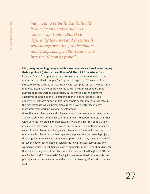UNLOCKING INNOVATION

may need to be built, but it should be done in an iterative and usercentric way. Inputs should be defined by the users and these needs will change over time, so the donors should stop baking all the requirements into the RFP on day one."

#### Fifth, many technology companies' business models are based on recouping their significant (often in the millions of dollars) R&D investments via

licensing fees or fixed-price contracts. However large international assistance funders historically do not pay for "repeatable expenses." They also often structure contracts using what are known as "cost-plus" or "cost-reimbursable" methods, meaning the donors will only pay for the number of hours a set number of people worked on a project. But as multiple technology firm executives pointed out, this is anathema to their business models, and effectively eliminates opportunities for technology companies to ever recoup their investments, which further discourages private sector technology innovators from working in global development.

Given that many hardware and software innovations can support many projects at once, technology companies can simultaneously support multiple countries without hiring new staff. For example, a software engineer can build a single application that can be used by anyone and anywhere, no matter whether the users of that software sit in Bangladesh, Rwanda, or Guatemala. However, costreimbursable rules stipulate that separate people must work on each project, so these regulations make it excessively complex (and in many cases, impossible) for technology or technology-enabled firms to legitimately account for who worked on which project. Using a cost-reimbursable model, who should pay for that software engineer's time? The donor for the project in Bangladesh? Or the one for Rwanda? Or Guatemala? Paying for licenses or fixed-price awards that paid against results delivered would be much more straightforward, executives said.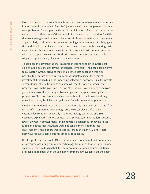Firms told us that cost-reimbursable models can be advantageous in certain limited cases, for example to fund R&D (where you do need people working on a new problem), for scoping activities in anticipation of working on a larger contract, or to offset some of the non-technical financial costs and risks for SMEs that work in fragile environments. But cost-reimbursable methods of payment is a particularly bad model to scale technology interventions. Further, given the additional compliance headaches that come with working with cost-reimbursable methods, many firms said they would still prefer to structure R&D and scoping work using fixed-price awards where payment can be triggered upon delivery of agreed-upon milestones.

To scale technology innovations, in addition to using fixed-price awards, officials should also consider paying for licenses, firms said<sup>4</sup>. Then, stop asking firms to calculate how they arrive at their final license cost because it won't be possible to generate an accurate number without looking at the years of investment it took to build the underlying software or hardware. Like the private sector, donors should be able to evaluate whether the price quoted in the proposal is worth the investment or not. "It's not like if you wanted to use Word you'd ask Microsoft how many software engineers they plan on using for the project. No, Microsoft has already made investments to build Word and they make their money back by selling a license," one firm executive pointed out.

Finally, international assistance has traditionally avoided purchasing from for- profit companies, even though private sector players often offer cutting-edge solutions, especially in the technology sector. As one SME executive explained, "Donors bemoan that private capital is soulless because it won't invest in development (and innovators get shamed for having raised funding), but the reality is, there would be tons of money pouring into development if the donors would stop distorting the market... and create pathways for sustainable business models to succeed."

Not-for-profit and for-profit SME executives also pointed out that donors have also resisted acquiring services or technology from firms that sell proprietary solutions. One firm told us that, for many donors, non-open-source solutions are seen as a red flag, even though many commercially-available, off-the-shelf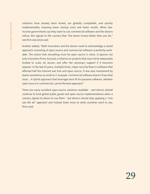UNLOCKING INNOVATION

solutions have already been tested, are globally compatible, and quickly implementable, meaning lower startup costs and faster results. When lowincome governments say they want to use commercial software and the donors refuse, this signals to the country that "the donor knows better than you do," one firm executive said.

Another added, "Both innovators and the donors need to acknowledge a mixed approach consisting of open source and commercial software is perfectly workable. The notion that everything must be open source is naive...It ignores not only innovative firms, but puts a reliance on projects that may not be adequately funded to scale, be secure, and offer the necessary support if it becomes popular. In the last 10 years, multiple times, major security flaws in software that affected half the Internet was free and open source. It was also maintained by teams sometimes as small as 2-3 people. Commercial software doesn't have that issue... A hybrid approach that leverages best fit-for-purpose software, whether open source or commercial, can be the best approach."

There are many excellent open-source solutions available - and donors should continue to fund global public goods and open source implementations when a country signals its desire to use them - but donors should stop applying a "one size fits all" approach and instead listen more to what countries want to use, firms said.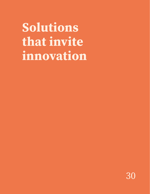<span id="page-29-0"></span>**Solutions that invite innovation**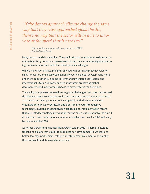"If the donors approach climate change the same way that they have approached global health, there's no way that the sector will be able to innovate at the speed that it needs to."

-Silicon Valley innovator, a 6+ year partner of BMGF, **USAID & World Bank** 

Many donors' models are broken. The calcification of international assistance stymies attempts by donors and governments to get their arms around global warming, humanitarian crises, and other development challenges.

While a handful of private, philanthropic foundations have made it easier for small innovators and local organizations to work in global development, more and more public money is going to fewer and fewer large contractors and international NGOs. As a consequence, innovators are leaving global development. And many others choose to never enter in the first place.

The ability to apply new innovations to global challenges that have transformed the planet in just a few decades could have immense impact. But international assistance contracting models are incompatible with the way innovative organizations typically operate. In addition, for innovators that deploy technology solutions, the lag between proposal and implementation means that a selected technology intervention may be much less relevant by the time it is rolled out. Like mobile phones, what is innovative and novel in 2022 will likely be deprecated by 2026.

As former USAID Administrator Mark Green said in 2019, "There are literally trillions of dollars that could be mobilized for development if we learn to better leverage partnership, catalyze private-sector investments and amplify the efforts of foundations and non-profits."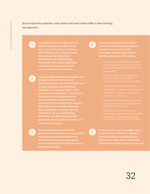**1**

**2**

But to realize this potential, many donors will need radical shifs in their thinking and approach:

> **4 It should be easier for donors to write awards valued at \$10 million or less requirements for frms to apply and comply with awards depending ways to release the funds faster**

As long as global development agencies rely **on large contractors to serve as its gatekeepers, donors need to do a better job ofimproving prime-sub contracting dyanamics. For example, funders could require more transparency – the winners of large grants and contracts should be required to publicly report both the percentage of the awards they promised to SMEs and what was actually dispersed. Donors should also recognize that aid models that rely on a handful of big discourage private sector investment, and crowd-out new players**

**1 Donors should budget not just for**<br> **1 pilots, but also for scale-ups. Increase R&D 1 b inside their Front Offices consisting of Donors should budget not just for funding and use tools like Advanced private and public sector R&D investment to achieve the SDGs** 

**5**

**Donors also need to overhaul their procurement and assistance policies technology-enabled organizations** 

- 
- 
- 
- 
- 

**inside their Front Ofices consisting of forward-thinking contacting oficers and lawyers. These ofices should lead initiatives to simplify grants and contracts**

## 32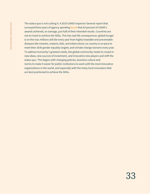UNLOCKING INNOVATION

The status quo is not cutting it. A 2019 USAID Inspector General report that surveyed three years of agency spending found that 43 percent of USAID's awards achieved, on average, just half of their intended results. Countries are not on track to achieve the SDGs. This has real-life consequences: global hunger is on the rise; millions still die every year from highly treatable and preventable diseases like measles, malaria, Aids, and tuberculosis; no country is on pace to meet their 2030 gender equality targets; and climate change worsens every year. To address humanity's greatest needs, the global community needs to crowd-in new ideas, new sources of investment, and innovative new players and shift the status quo. This begins with changing policies, business culture and norms to make it easier for public institutions to work with the most innovative organizations in the world, and especially with the many local innovators that are best positioned to achieve the SDGs.